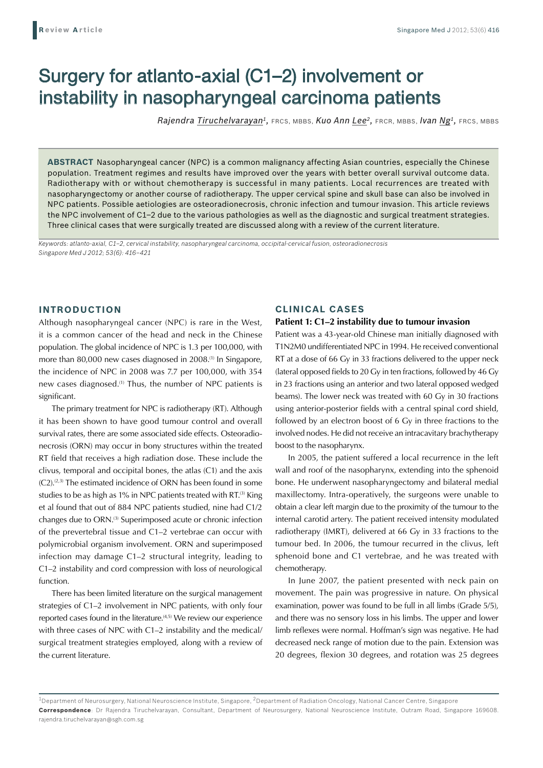# Surgery for atlanto-axial (C1–2) involvement or instability in nasopharyngeal carcinoma patients

*Rajendra Tiruchelvarayan1,* FRCS, MBBS, *Kuo Ann Lee2,* FRCR, MBBS, *Ivan Ng1,* FRCS, MBBS

**ABSTRACT** Nasopharyngeal cancer (NPC) is a common malignancy affecting Asian countries, especially the Chinese population. Treatment regimes and results have improved over the years with better overall survival outcome data. Radiotherapy with or without chemotherapy is successful in many patients. Local recurrences are treated with nasopharyngectomy or another course of radiotherapy. The upper cervical spine and skull base can also be involved in NPC patients. Possible aetiologies are osteoradionecrosis, chronic infection and tumour invasion. This article reviews the NPC involvement of C1–2 due to the various pathologies as well as the diagnostic and surgical treatment strategies. Three clinical cases that were surgically treated are discussed along with a review of the current literature.

*Keywords: atlanto-axial, C1–2, cervical instability, nasopharyngeal carcinoma, occipital-cervical fusion, osteoradionecrosis Singapore Med J 2012; 53(6): 416–421*

# **INTRODUCTION**

Although nasopharyngeal cancer (NPC) is rare in the West, it is a common cancer of the head and neck in the Chinese population. The global incidence of NPC is 1.3 per 100,000, with more than 80,000 new cases diagnosed in 2008.<sup>(1)</sup> In Singapore, the incidence of NPC in 2008 was 7.7 per 100,000, with 354 new cases diagnosed.(1) Thus, the number of NPC patients is significant.

The primary treatment for NPC is radiotherapy (RT). Although it has been shown to have good tumour control and overall survival rates, there are some associated side effects. Osteoradionecrosis (ORN) may occur in bony structures within the treated RT field that receives a high radiation dose. These include the clivus, temporal and occipital bones, the atlas (C1) and the axis  $(C2).^{(2,3)}$  The estimated incidence of ORN has been found in some studies to be as high as 1% in NPC patients treated with RT.<sup>(3)</sup> King et al found that out of 884 NPC patients studied, nine had C1/2 changes due to ORN.(3) Superimposed acute or chronic infection of the prevertebral tissue and C1–2 vertebrae can occur with polymicrobial organism involvement. ORN and superimposed infection may damage C1–2 structural integrity, leading to C1–2 instability and cord compression with loss of neurological function.

There has been limited literature on the surgical management strategies of C1–2 involvement in NPC patients, with only four reported cases found in the literature.<sup>(4,5)</sup> We review our experience with three cases of NPC with C1–2 instability and the medical/ surgical treatment strategies employed, along with a review of the current literature.

## **CLINICAL CASES**

#### **Patient 1: C1–2 instability due to tumour invasion**

Patient was a 43-year-old Chinese man initially diagnosed with T1N2M0 undifferentiated NPC in 1994. He received conventional RT at a dose of 66 Gy in 33 fractions delivered to the upper neck (lateral opposed fields to 20 Gy in ten fractions, followed by 46 Gy in 23 fractions using an anterior and two lateral opposed wedged beams). The lower neck was treated with 60 Gy in 30 fractions using anterior-posterior fields with a central spinal cord shield, followed by an electron boost of 6 Gy in three fractions to the involved nodes. He did not receive an intracavitary brachytherapy boost to the nasopharynx.

In 2005, the patient suffered a local recurrence in the left wall and roof of the nasopharynx, extending into the sphenoid bone. He underwent nasopharyngectomy and bilateral medial maxillectomy. Intra-operatively, the surgeons were unable to obtain a clear left margin due to the proximity of the tumour to the internal carotid artery. The patient received intensity modulated radiotherapy (IMRT), delivered at 66 Gy in 33 fractions to the tumour bed. In 2006, the tumour recurred in the clivus, left sphenoid bone and C1 vertebrae, and he was treated with chemotherapy.

In June 2007, the patient presented with neck pain on movement. The pain was progressive in nature. On physical examination, power was found to be full in all limbs (Grade 5/5), and there was no sensory loss in his limbs. The upper and lower limb reflexes were normal. Hoffman's sign was negative. He had decreased neck range of motion due to the pain. Extension was 20 degrees, flexion 30 degrees, and rotation was 25 degrees

 $1$ Department of Neurosurgery, National Neuroscience Institute, Singapore,  $2$ Department of Radiation Oncology, National Cancer Centre, Singapore **Correspondence**: Dr Rajendra Tiruchelvarayan, Consultant, Department of Neurosurgery, National Neuroscience Institute, Outram Road, Singapore 169608. rajendra.tiruchelvarayan@sgh.com.sg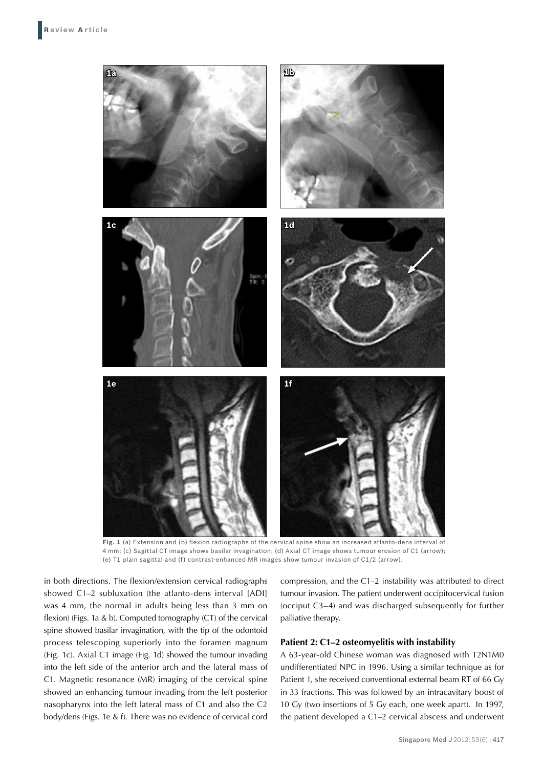

**Fig. 1** (a) Extension and (b) flexion radiographs of the cervical spine show an increased atlanto-dens interval of 4 mm; (c) Sagittal CT image shows basilar invagination; (d) Axial CT image shows tumour erosion of C1 (arrow); (e) T1 plain sagittal and (f) contrast-enhanced MR images show tumour invasion of C1/2 (arrow).

in both directions. The flexion/extension cervical radiographs showed C1–2 subluxation (the atlanto-dens interval [ADI] was 4 mm, the normal in adults being less than 3 mm on flexion) (Figs. 1a & b). Computed tomography (CT) of the cervical spine showed basilar invagination, with the tip of the odontoid process telescoping superiorly into the foramen magnum (Fig. 1c). Axial CT image (Fig. 1d) showed the tumour invading into the left side of the anterior arch and the lateral mass of C1. Magnetic resonance (MR) imaging of the cervical spine showed an enhancing tumour invading from the left posterior nasopharynx into the left lateral mass of C1 and also the C2 body/dens (Figs. 1e & f). There was no evidence of cervical cord compression, and the C1–2 instability was attributed to direct tumour invasion. The patient underwent occipitocervical fusion (occiput C3–4) and was discharged subsequently for further palliative therapy.

## **Patient 2: C1–2 osteomyelitis with instability**

A 63-year-old Chinese woman was diagnosed with T2N1M0 undifferentiated NPC in 1996. Using a similar technique as for Patient 1, she received conventional external beam RT of 66 Gy in 33 fractions. This was followed by an intracavitary boost of 10 Gy (two insertions of 5 Gy each, one week apart). In 1997, the patient developed a C1–2 cervical abscess and underwent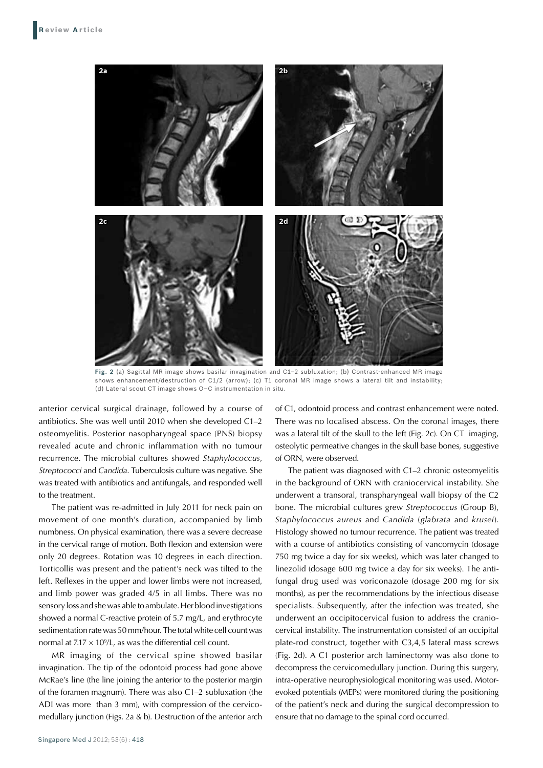

**Fig. 2** (a) Sagittal MR image shows basilar invagination and C1–2 subluxation; (b) Contrast-enhanced MR image shows enhancement/destruction of C1/2 (arrow); (c) T1 coronal MR image shows a lateral tilt and instability; (d) Lateral scout CT image shows O–C instrumentation in situ.

anterior cervical surgical drainage, followed by a course of antibiotics. She was well until 2010 when she developed C1–2 osteomyelitis. Posterior nasopharyngeal space (PNS) biopsy revealed acute and chronic inflammation with no tumour recurrence. The microbial cultures showed *Staphylococcus*, *Streptococci* and *Candida*. Tuberculosis culture was negative. She was treated with antibiotics and antifungals, and responded well to the treatment.

The patient was re-admitted in July 2011 for neck pain on movement of one month's duration, accompanied by limb numbness. On physical examination, there was a severe decrease in the cervical range of motion. Both flexion and extension were only 20 degrees. Rotation was 10 degrees in each direction. Torticollis was present and the patient's neck was tilted to the left. Reflexes in the upper and lower limbs were not increased, and limb power was graded 4/5 in all limbs. There was no sensory loss and she was able to ambulate. Her blood investigations showed a normal C-reactive protein of 5.7 mg/L, and erythrocyte sedimentation rate was 50 mm/hour. The total white cell count was normal at 7.17  $\times$  10%L, as was the differential cell count.

MR imaging of the cervical spine showed basilar invagination. The tip of the odontoid process had gone above McRae's line (the line joining the anterior to the posterior margin of the foramen magnum). There was also C1–2 subluxation (the ADI was more than 3 mm), with compression of the cervicomedullary junction (Figs. 2a & b). Destruction of the anterior arch

Singapore Med J 2012; 53(6) : 418

of C1, odontoid process and contrast enhancement were noted. There was no localised abscess. On the coronal images, there was a lateral tilt of the skull to the left (Fig. 2c). On CT imaging, osteolytic permeative changes in the skull base bones, suggestive of ORN, were observed.

The patient was diagnosed with C1–2 chronic osteomyelitis in the background of ORN with craniocervical instability. She underwent a transoral, transpharyngeal wall biopsy of the C2 bone. The microbial cultures grew *Streptococcus* (Group B), *Staphylococcus aureus* and *Candida* (*glabrata* and *krusei*). Histology showed no tumour recurrence. The patient was treated with a course of antibiotics consisting of vancomycin (dosage 750 mg twice a day for six weeks), which was later changed to linezolid (dosage 600 mg twice a day for six weeks). The antifungal drug used was voriconazole (dosage 200 mg for six months), as per the recommendations by the infectious disease specialists. Subsequently, after the infection was treated, she underwent an occipitocervical fusion to address the craniocervical instability. The instrumentation consisted of an occipital plate-rod construct, together with C3,4,5 lateral mass screws (Fig. 2d). A C1 posterior arch laminectomy was also done to decompress the cervicomedullary junction. During this surgery, intra-operative neurophysiological monitoring was used. Motorevoked potentials (MEPs) were monitored during the positioning of the patient's neck and during the surgical decompression to ensure that no damage to the spinal cord occurred.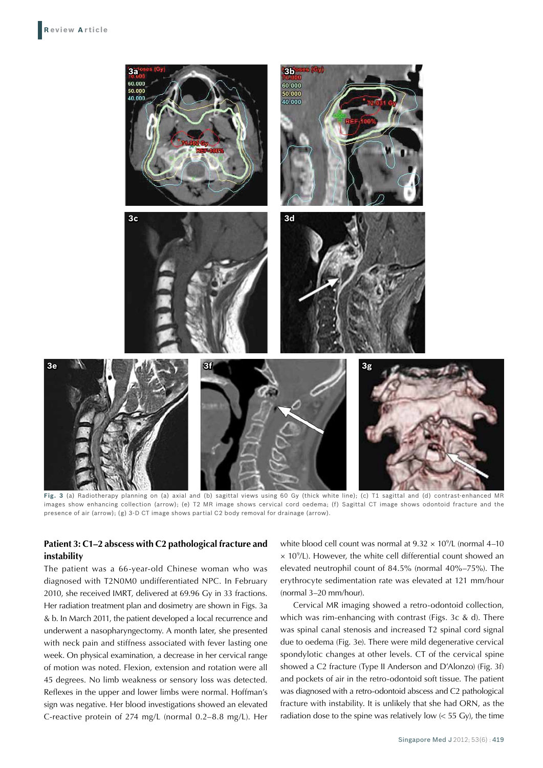

Fig. 3 (a) Radiotherapy planning on (a) axial and (b) sagittal views using 60 Gy (thick white line); (c) T1 sagittal and (d) contrast-enhanced MR images show enhancing collection (arrow); (e) T2 MR image shows cervical cord oedema; (f) Sagittal CT image shows odontoid fracture and the presence of air (arrow); (g) 3-D CT image shows partial C2 body removal for drainage (arrow).

# **Patient 3: C1–2 abscess with C2 pathological fracture and instability**

The patient was a 66-year-old Chinese woman who was diagnosed with T2N0M0 undifferentiated NPC. In February 2010, she received IMRT, delivered at 69.96 Gy in 33 fractions. Her radiation treatment plan and dosimetry are shown in Figs. 3a & b. In March 2011, the patient developed a local recurrence and underwent a nasopharyngectomy. A month later, she presented with neck pain and stiffness associated with fever lasting one week. On physical examination, a decrease in her cervical range of motion was noted. Flexion, extension and rotation were all 45 degrees. No limb weakness or sensory loss was detected. Reflexes in the upper and lower limbs were normal. Hoffman's sign was negative. Her blood investigations showed an elevated C-reactive protein of 274 mg/L (normal 0.2–8.8 mg/L). Her

white blood cell count was normal at  $9.32 \times 10^9$ /L (normal 4–10  $\times$  10<sup>9</sup>/L). However, the white cell differential count showed an elevated neutrophil count of 84.5% (normal 40%–75%). The erythrocyte sedimentation rate was elevated at 121 mm/hour (normal 3–20 mm/hour).

Cervical MR imaging showed a retro-odontoid collection, which was rim-enhancing with contrast (Figs. 3c & d). There was spinal canal stenosis and increased T2 spinal cord signal due to oedema (Fig. 3e). There were mild degenerative cervical spondylotic changes at other levels. CT of the cervical spine showed a C2 fracture (Type II Anderson and D'Alonzo) (Fig. 3f) and pockets of air in the retro-odontoid soft tissue. The patient was diagnosed with a retro-odontoid abscess and C2 pathological fracture with instability. It is unlikely that she had ORN, as the radiation dose to the spine was relatively low  $\ll$  55 Gy), the time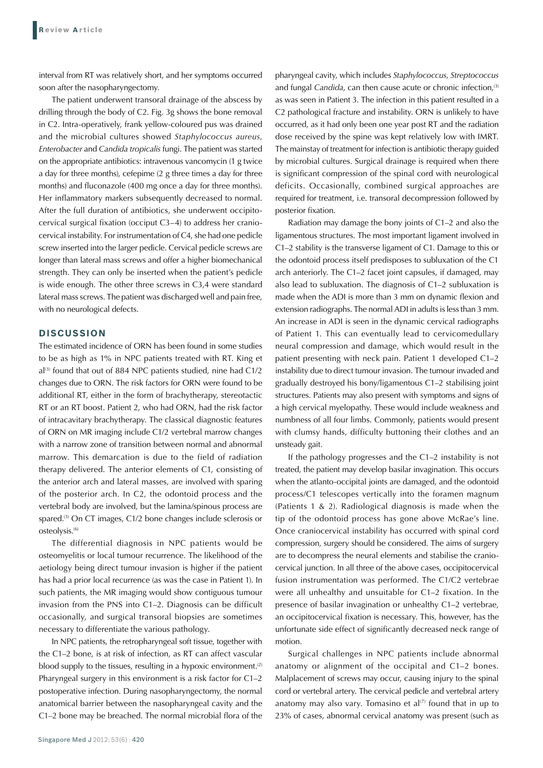interval from RT was relatively short, and her symptoms occurred soon after the nasopharyngectomy.

The patient underwent transoral drainage of the abscess by drilling through the body of C2. Fig. 3g shows the bone removal in C2. Intra-operatively, frank yellow-coloured pus was drained and the microbial cultures showed *Staphylococcus aureus*, *Enterobacter* and *Candida tropicalis* fungi. The patient was started on the appropriate antibiotics: intravenous vancomycin (1 g twice a day for three months), cefepime (2 g three times a day for three months) and fluconazole (400 mg once a day for three months). Her inflammatory markers subsequently decreased to normal. After the full duration of antibiotics, she underwent occipitocervical surgical fixation (occiput C3–4) to address her craniocervical instability. For instrumentation of C4, she had one pedicle screw inserted into the larger pedicle. Cervical pedicle screws are longer than lateral mass screws and offer a higher biomechanical strength. They can only be inserted when the patient's pedicle is wide enough. The other three screws in C3,4 were standard lateral mass screws. The patient was discharged well and pain free, with no neurological defects.

## **Discussion**

The estimated incidence of ORN has been found in some studies to be as high as 1% in NPC patients treated with RT. King et  $al^{(3)}$  found that out of 884 NPC patients studied, nine had C1/2 changes due to ORN. The risk factors for ORN were found to be additional RT, either in the form of brachytherapy, stereotactic RT or an RT boost. Patient 2, who had ORN, had the risk factor of intracavitary brachytherapy. The classical diagnostic features of ORN on MR imaging include C1/2 vertebral marrow changes with a narrow zone of transition between normal and abnormal marrow. This demarcation is due to the field of radiation therapy delivered. The anterior elements of C1, consisting of the anterior arch and lateral masses, are involved with sparing of the posterior arch. In C2, the odontoid process and the vertebral body are involved, but the lamina/spinous process are spared.<sup>(3)</sup> On CT images, C1/2 bone changes include sclerosis or osteolysis.(6)

The differential diagnosis in NPC patients would be osteomyelitis or local tumour recurrence. The likelihood of the aetiology being direct tumour invasion is higher if the patient has had a prior local recurrence (as was the case in Patient 1). In such patients, the MR imaging would show contiguous tumour invasion from the PNS into C1–2. Diagnosis can be difficult occasionally, and surgical transoral biopsies are sometimes necessary to differentiate the various pathology.

In NPC patients, the retropharyngeal soft tissue, together with the C1–2 bone, is at risk of infection, as RT can affect vascular blood supply to the tissues, resulting in a hypoxic environment. $(2)$ Pharyngeal surgery in this environment is a risk factor for C1–2 postoperative infection. During nasopharyngectomy, the normal anatomical barrier between the nasopharyngeal cavity and the C1–2 bone may be breached. The normal microbial flora of the pharyngeal cavity, which includes *Staphylococcus*, *Streptococcus*  and fungal *Candida*, can then cause acute or chronic infection,<sup>(3)</sup> as was seen in Patient 3. The infection in this patient resulted in a C2 pathological fracture and instability. ORN is unlikely to have occurred, as it had only been one year post RT and the radiation dose received by the spine was kept relatively low with IMRT. The mainstay of treatment for infection is antibiotic therapy guided by microbial cultures. Surgical drainage is required when there is significant compression of the spinal cord with neurological deficits. Occasionally, combined surgical approaches are required for treatment, i.e. transoral decompression followed by posterior fixation.

Radiation may damage the bony joints of C1–2 and also the ligamentous structures. The most important ligament involved in C1–2 stability is the transverse ligament of C1. Damage to this or the odontoid process itself predisposes to subluxation of the C1 arch anteriorly. The C1–2 facet joint capsules, if damaged, may also lead to subluxation. The diagnosis of C1–2 subluxation is made when the ADI is more than 3 mm on dynamic flexion and extension radiographs. The normal ADI in adults is less than 3 mm. An increase in ADI is seen in the dynamic cervical radiographs of Patient 1. This can eventually lead to cervicomedullary neural compression and damage, which would result in the patient presenting with neck pain. Patient 1 developed C1–2 instability due to direct tumour invasion. The tumour invaded and gradually destroyed his bony/ligamentous C1–2 stabilising joint structures. Patients may also present with symptoms and signs of a high cervical myelopathy. These would include weakness and numbness of all four limbs. Commonly, patients would present with clumsy hands, difficulty buttoning their clothes and an unsteady gait.

If the pathology progresses and the C1–2 instability is not treated, the patient may develop basilar invagination. This occurs when the atlanto-occipital joints are damaged, and the odontoid process/C1 telescopes vertically into the foramen magnum (Patients 1 & 2). Radiological diagnosis is made when the tip of the odontoid process has gone above McRae's line. Once craniocervical instability has occurred with spinal cord compression, surgery should be considered. The aims of surgery are to decompress the neural elements and stabilise the craniocervical junction. In all three of the above cases, occipitocervical fusion instrumentation was performed. The C1/C2 vertebrae were all unhealthy and unsuitable for C1–2 fixation. In the presence of basilar invagination or unhealthy C1–2 vertebrae, an occipitocervical fixation is necessary. This, however, has the unfortunate side effect of significantly decreased neck range of motion.

Surgical challenges in NPC patients include abnormal anatomy or alignment of the occipital and C1–2 bones. Malplacement of screws may occur, causing injury to the spinal cord or vertebral artery. The cervical pedicle and vertebral artery anatomy may also vary. Tomasino et  $al^{(7)}$  found that in up to 23% of cases, abnormal cervical anatomy was present (such as